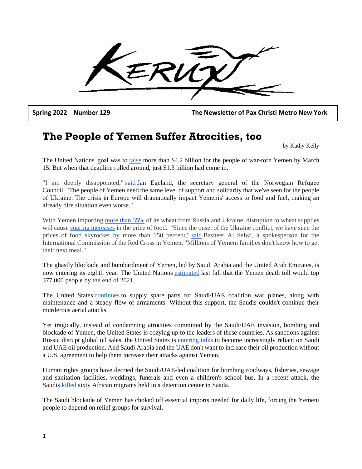**Spring 2022 Number 129 The Newsletter of Pax Christi Metro New York**

## **The People of Yemen Suffer Atrocities, too**

by Kathy Kelly

The United Nations' goal was to [raise](https://www.reuters.com/world/middle-east/un-raises-only-13-bln-over-4-bln-sought-yemen-2022-aid-ocha-head-2022-03-16/) more than \$4.2 billion for the people of war-torn Yemen by March 15. But when that deadline rolled around, just \$1.3 billion had come in.

"I am deeply disappointed," [said](https://www.nrc.no/news/2022/march/yemen-pledging-conference-an-outcome-that-will-lead-to-loss-of-lives/) Jan Egeland, the secretary general of the Norwegian Refugee Council. "The people of Yemen need the same level of support and solidarity that we've seen for the people of Ukraine. The crisis in Europe will dramatically impact Yemenis' access to food and fuel, making an already dire situation even worse."

With Yemen importing [more than 35%](https://www.reuters.com/article/ukraine-crisis-food-mideast-idAFL8N2V31BU) of its wheat from Russia and Ukraine, disruption to wheat supplies will cause [soaring increases](https://www.middleeasteye.net/news/russia-ukraine-war-yemen-braces-wheat-shortage) in the price of food. "Since the onset of the Ukraine conflict, we have seen the prices of food skyrocket by more than 150 percent," [said](https://www.middleeasteye.net/news/russia-ukraine-war-yemen-braces-wheat-shortage) Basheer Al Selwi, a spokesperson for the International Commission of the Red Cross in Yemen. "Millions of Yemeni families don't know how to get their next meal."

The ghastly blockade and bombardment of Yemen, led by Saudi Arabia and the United Arab Emirates, is now entering its eighth year. The United Nations [estimated](https://www.middleeasteye.net/news/yemen-war-death-toll-reach-un-report) last fall that the Yemen death toll would top 377,000 people by the end of 2021.

The United States [continues](https://www.brookings.edu/blog/order-from-chaos/2022/02/01/the-houthis-have-won-in-yemen-what-next/) to supply spare parts for Saudi/UAE coalition war planes, along with maintenance and a steady flow of armaments. Without this support, the Saudis couldn't continue their murderous aerial attacks.

Yet tragically, instead of condemning atrocities committed by the Saudi/UAE invasion, bombing and blockade of Yemen, the United States is cozying up to the leaders of these countries. As sanctions against Russia disrupt global oil sales, the United States is [entering talks](https://thehill.com/policy/international/598828-us-saudi-tensions-complicate-push-for-more-oil) to become increasingly reliant on Saudi and UAE oil production. And Saudi Arabia and the UAE don't want to increase their oil production without a U.S. agreement to help them increase their attacks against Yemen.

Human rights groups have decried the Saudi/UAE-led coalition for bombing roadways, fisheries, sewage and sanitation facilities, weddings, funerals and even a children's school bus. In a recent attack, the Saudis [killed](https://www.reuters.com/world/middle-east/several-killed-air-strike-detention-centre-yemens-saada-reuters-witness-2022-01-21/) sixty African migrants held in a detention center in Saada.

The Saudi blockade of Yemen has choked off essential imports needed for daily life, forcing the Yemeni people to depend on relief groups for survival.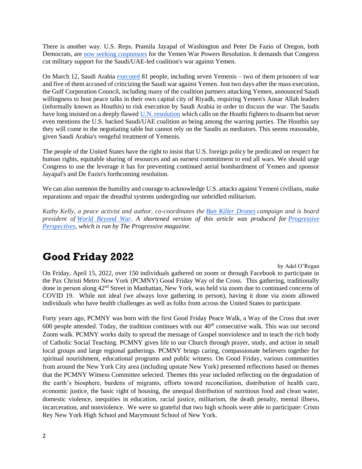There is another way. U.S. Reps. Pramila Jayapal of Washington and Peter De Fazio of Oregon, both Democrats, are [now seeking cosponsors](https://www.thenation.com/article/world/yemen-wars-power-resoultion/) for the Yemen War Powers Resolution. It demands that Congress cut military support for the Saudi/UAE-led coalition's war against Yemen.

On March 12, Saudi Arabia [executed](https://deathpenaltyinfo.org/news/saudi-arabian-mass-execution-of-81-people-draws-condemnation-from-u-n-high-commissioner-rights-activists) 81 people, including seven Yemenis – two of them prisoners of war and five of them accused of criticizing the Saudi war against Yemen. Just two days after the mass execution, the Gulf Corporation Council, including many of the coalition partners attacking Yemen, announced Saudi willingness to host peace talks in their own capital city of Riyadh, requiring Yemen's Ansar Allah leaders (informally known as Houthis) to risk execution by Saudi Arabia in order to discuss the war. The Saudis have long insisted on a deeply flawed [U.N. resolution](https://www.securitycouncilreport.org/un-documents/document/s-res-2624.php) which calls on the Houthi fighters to disarm but never even mentions the U.S. backed Saudi/UAE coalition as being among the warring parties. The Houthis say they will come to the negotiating table but cannot rely on the Saudis as mediators. This seems reasonable, given Saudi Arabia's vengeful treatment of Yemenis.

The people of the United States have the right to insist that U.S. foreign policy be predicated on respect for human rights, equitable sharing of resources and an earnest commitment to end all wars. We should urge Congress to use the leverage it has for preventing continued aerial bombardment of Yemen and sponsor Jayapal's and De Fazio's forthcoming resolution.

We can also summon the humility and courage to acknowledge U.S. attacks against Yemeni civilians, make reparations and repair the dreadful systems undergirding our unbridled militarism.

*Kathy Kelly, a peace activist and author, co-coordinates the [Ban Killer Drones](http://bankillerdrones.org/) campaign and is board president of [World Beyond War](https://worldbeyondwar.org/)*. *A shortened version of this article was produced for [Progressive](https://progressive.org/op-eds)  [Perspectives,](https://progressive.org/op-eds) which is run by The Progressive magazine.*

## **Good Friday 2022**

by Adel O'Regan On Friday, April 15, 2022, over 150 individuals gathered on zoom or through Facebook to participate in the Pax Christi Metro New York (PCMNY) Good Friday Way of the Cross. This gathering, traditionally done in person along 42nd Street in Manhattan, New York, was held via zoom due to continued concerns of COVID 19. While not ideal (we always love gathering in person), having it done via zoom allowed individuals who have health challenges as well as folks from across the United States to participate.

Forty years ago, PCMNY was born with the first Good Friday Peace Walk, a Way of the Cross that over 600 people attended. Today, the tradition continues with our  $40<sup>th</sup>$  consecutive walk. This was our second Zoom walk. PCMNY works daily to spread the message of Gospel nonviolence and to teach the rich body of Catholic Social Teaching. PCMNY gives life to our Church through prayer, study, and action in small local groups and large regional gatherings. PCMNY brings caring, compassionate believers together for spiritual nourishment, educational programs and public witness. On Good Friday, various communities from around the New York City area (including upstate New York) presented reflections based on themes that the PCMNY Witness Committee selected. Themes this year included reflecting on the degradation of the earth's biosphere, burdens of migrants, efforts toward reconciliation, distribution of health care, economic justice, the basic right of housing, the unequal distribution of nutritious food and clean water, domestic violence, inequities in education, racial justice, militarism, the death penalty, mental illness, incarceration, and nonviolence. We were so grateful that two high schools were able to participate: Cristo Rey New York High School and Marymount School of New York.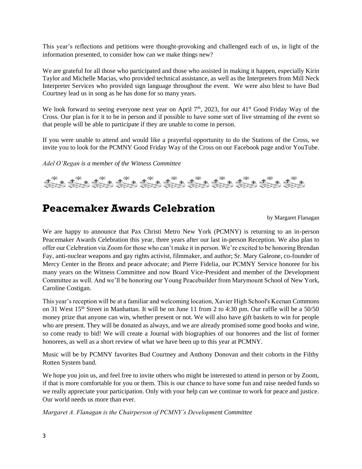This year's reflections and petitions were thought-provoking and challenged each of us, in light of the information presented, to consider how can we make things new?

We are grateful for all those who participated and those who assisted in making it happen, especially Kirin Taylor and Michelle Macias, who provided technical assistance, as well as the Interpreters from Mill Neck Interpreter Services who provided sign language throughout the event. We were also blest to have Bud Courtney lead us in song as he has done for so many years.

We look forward to seeing everyone next year on April 7<sup>th</sup>, 2023, for our 41<sup>st</sup> Good Friday Way of the Cross. Our plan is for it to be in person and if possible to have some sort of live streaming of the event so that people will be able to participate if they are unable to come in person.

If you were unable to attend and would like a prayerful opportunity to do the Stations of the Cross, we invite you to look for the PCMNY Good Friday Way of the Cross on our Facebook page and/or YouTube.

*Adel O'Regan is a member of the Witness Committee*



### **Peacemaker Awards Celebration**

by Margaret Flanagan

We are happy to announce that Pax Christi Metro New York (PCMNY) is returning to an in-person Peacemaker Awards Celebration this year, three years after our last in-person Reception. We also plan to offer our Celebration via Zoom for those who can't make it in person. We're excited to be honoring Brendan Fay, anti-nuclear weapons and gay rights activist, filmmaker, and author; Sr. Mary Galeone, co-founder of Mercy Center in the Bronx and peace advocate; and Pierre Fidelia, our PCMNY Service honoree for his many years on the Witness Committee and now Board Vice-President and member of the Development Committee as well. And we'll be honoring our Young Peacebuilder from Marymount School of New York, Caroline Costigan.

This year's reception will be at a familiar and welcoming location, Xavier High School's Keenan Commons on 31 West 15<sup>th</sup> Street in Manhattan. It will be on June 11 from 2 to 4:30 pm. Our raffle will be a 50/50 money prize that anyone can win, whether present or not. We will also have gift baskets to win for people who are present. They will be donated as always, and we are already promised some good books and wine, so come ready to bid! We will create a Journal with biographies of our honorees and the list of former honorees, as well as a short review of what we have been up to this year at PCMNY.

Music will be by PCMNY favorites Bud Courtney and Anthony Donovan and their cohorts in the Filthy Rotten System band.

We hope you join us, and feel free to invite others who might be interested to attend in person or by Zoom, if that is more comfortable for you or them. This is our chance to have some fun and raise needed funds so we really appreciate your participation. Only with your help can we continue to work for peace and justice. Our world needs us more than ever.

*Margaret A. Flanagan is the Chairperson of PCMNY's Development Committee*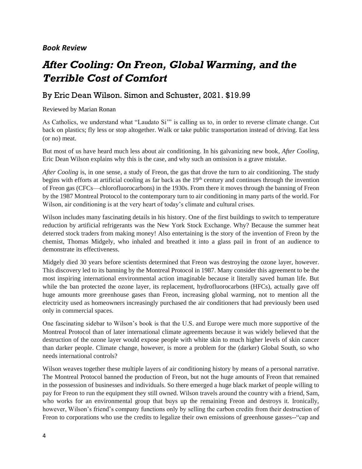#### *Book Review*

# *After Cooling: On Freon, Global Warming, and the Terrible Cost of Comfort*

#### By Eric Dean Wilson. Simon and Schuster, 2021. \$19.99

Reviewed by Marian Ronan

As Catholics, we understand what "Laudato Si'" is calling us to, in order to reverse climate change. Cut back on plastics; fly less or stop altogether. Walk or take public transportation instead of driving. Eat less (or no) meat.

But most of us have heard much less about air conditioning. In his galvanizing new book, *After Cooling*, Eric Dean Wilson explains why this is the case, and why such an omission is a grave mistake.

*After Cooling* is, in one sense, a study of Freon, the gas that drove the turn to air conditioning. The study begins with efforts at artificial cooling as far back as the 19<sup>th</sup> century and continues through the invention of Freon gas (CFCs—chlorofluorocarbons) in the 1930s. From there it moves through the banning of Freon by the 1987 Montreal Protocol to the contemporary turn to air conditioning in many parts of the world. For Wilson, air conditioning is at the very heart of today's climate and cultural crises.

Wilson includes many fascinating details in his history. One of the first buildings to switch to temperature reduction by artificial refrigerants was the New York Stock Exchange. Why? Because the summer heat deterred stock traders from making money! Also entertaining is the story of the invention of Freon by the chemist, Thomas Midgely, who inhaled and breathed it into a glass pail in front of an audience to demonstrate its effectiveness.

Midgely died 30 years before scientists determined that Freon was destroying the ozone layer, however. This discovery led to its banning by the Montreal Protocol in 1987. Many consider this agreement to be the most inspiring international environmental action imaginable because it literally saved human life. But while the ban protected the ozone layer, its replacement, hydrofluorocarbons (HFCs), actually gave off huge amounts more greenhouse gases than Freon, increasing global warming, not to mention all the electricity used as homeowners increasingly purchased the air conditioners that had previously been used only in commercial spaces.

One fascinating sidebar to Wilson's book is that the U.S. and Europe were much more supportive of the Montreal Protocol than of later international climate agreements because it was widely believed that the destruction of the ozone layer would expose people with white skin to much higher levels of skin cancer than darker people. Climate change, however, is more a problem for the (darker) Global South, so who needs international controls?

Wilson weaves together these multiple layers of air conditioning history by means of a personal narrative. The Montreal Protocol banned the production of Freon, but not the huge amounts of Freon that remained in the possession of businesses and individuals. So there emerged a huge black market of people willing to pay for Freon to run the equipment they still owned. Wilson travels around the country with a friend, Sam, who works for an environmental group that buys up the remaining Freon and destroys it. Ironically, however, Wilson's friend's company functions only by selling the carbon credits from their destruction of Freon to corporations who use the credits to legalize their own emissions of greenhouse gasses--"cap and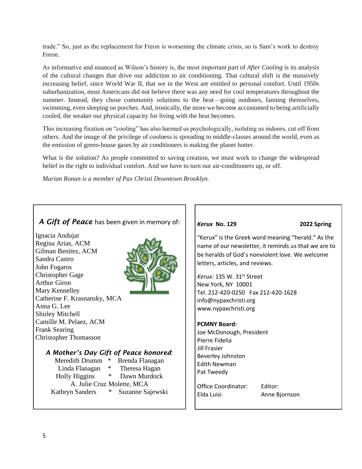trade." So, just as the replacement for Freon is worsening the climate crisis, so is Sam's work to destroy Freon.

As informative and nuanced as Wilson's history is, the most important part of *After Cooling* is its analysis of the cultural changes that drive our addiction to air conditioning. That cultural shift is the massively increasing belief, since World War II, that we in the West are entitled to personal comfort. Until 1950s suburbanization, most Americans did not believe there was any need for cool temperatures throughout the summer. Instead, they chose community solutions to the heat—going outdoors, fanning themselves, swimming, even sleeping on porches. And, ironically, the more we become accustomed to being artificially cooled, the weaker our physical capacity for living with the heat becomes.

This increasing fixation on "cooling" has also harmed us psychologically, isolating us indoors, cut off from others. And the image of the privilege of coolness is spreading to middle-classes around the world, even as the emission of green-house gases by air conditioners is making the planet hotter.

What is the solution? As people committed to saving creation, we must work to change the widespread belief in the right to individual comfort. And we have to turn our air-conditioners up, or off.

*Marian Ronan is a member of Pax Christi Downtown Brooklyn.*

| A Gift of Peace has been given in memory of:                                                                                                                                                                                                                                                                                                                                                                                                                                                                                                    | Kerux No. 129                                                                                                                                                                                                                                                                                                                                                               | 2022 Spring                                                                                                                                                                               |
|-------------------------------------------------------------------------------------------------------------------------------------------------------------------------------------------------------------------------------------------------------------------------------------------------------------------------------------------------------------------------------------------------------------------------------------------------------------------------------------------------------------------------------------------------|-----------------------------------------------------------------------------------------------------------------------------------------------------------------------------------------------------------------------------------------------------------------------------------------------------------------------------------------------------------------------------|-------------------------------------------------------------------------------------------------------------------------------------------------------------------------------------------|
| Ignacia Andujar<br>Regina Arias, ACM<br>Gilman Benitez, ACM<br>Sandra Castro<br>John Fogaros<br><b>Christopher Gage</b><br><b>Arthur Giron</b><br>Mary Kennelley<br>Catherine F. Krasnansky, MCA<br>Anna G. Lee<br><b>Shirley Mitchell</b><br>Camille M. Pelaez, ACM<br><b>Frank Searing</b><br><b>Christopher Thomasson</b><br>A Mother's Day Gift of Peace honored:<br>Meredith Drumm * Brenda Flanagan<br>Linda Flanagan * Theresa Hagan<br>Holly Higgins * Dawn Murdock<br>A. Julie Cruz Molette, MCA<br>Kathryn Sanders * Suzanne Sajewski | letters, articles, and reviews.<br>Kerux: 135 W. 31st Street<br>New York, NY 10001<br>Tel. 212-420-0250 Fax 212-420-1628<br>info@nypaxchristi.org<br>www.nypaxchristi.org<br><b>PCMNY Board:</b><br>Joe McDonough, President<br>Pierre Fidelia<br><b>Jill Frasier</b><br>Beverley Johnston<br><b>Edith Newman</b><br>Pat Tweedy<br><b>Office Coordinator:</b><br>Elda Luisi | "Kerux" is the Greek word meaning "herald." As the<br>name of our newsletter, it reminds us that we are to<br>be heralds of God's nonviolent love. We welcome<br>Editor:<br>Anne Bjornson |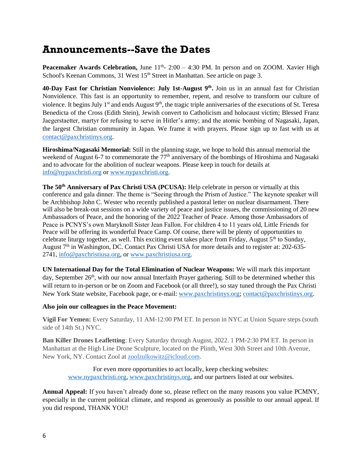### **Announcements--Save the Dates**

**Peacemaker Awards Celebration, June 11<sup>th</sup>-2:00 - 4:30 PM. In person and on ZOOM. Xavier High** School's Keenan Commons, 31 West 15<sup>th</sup> Street in Manhattan. See article on page 3.

**40-Day Fast for Christian Nonviolence: July 1st-August 9th .** Join us in an annual fast for Christian Nonviolence. This fast is an opportunity to remember, repent, and resolve to transform our culture of violence. It begins July 1<sup>st</sup> and ends August  $9<sup>th</sup>$ , the tragic triple anniversaries of the executions of St. Teresa Benedicta of the Cross (Edith Stein), Jewish convert to Catholicism and holocaust victim; Blessed Franz Jaegerstaetter, martyr for refusing to serve in Hitler's army; and the atomic bombing of Nagasaki, Japan, the largest Christian community in Japan. We frame it with prayers. Please sign up to fast with us at [contact@paxchristinys.org.](mailto:contact@paxchristinys.org)

**Hiroshima/Nagasaki Memorial:** Still in the planning stage, we hope to hold this annual memorial the weekend of August 6-7 to commemorate the  $77<sup>th</sup>$  anniversary of the bombings of Hiroshima and Nagasaki and to advocate for the abolition of nuclear weapons. Please keep in touch for details at [info@nypaxchristi.org](mailto:info@nypaxchristi.org) or [www.nypaxchristi.org.](http://www.nypaxchristi.org/)

**The 50th Anniversary of Pax Christi USA (PCUSA):** Help celebrate in person or virtually at this conference and gala dinner. The theme is "Seeing through the Prism of Justice." The keynote speaker will be Archbishop John C. Wester who recently published a pastoral letter on nuclear disarmament. There will also be break-out sessions on a wide variety of peace and justice issues, the commissioning of 20 new Ambassadors of Peace, and the honoring of the 2022 Teacher of Peace. Among those Ambassadors of Peace is PCNYS's own Maryknoll Sister Jean Fallon. For children 4 to 11 years old, Little Friends for Peace will be offering its wonderful Peace Camp. Of course, there will be plenty of opportunities to celebrate liturgy together, as well. This exciting event takes place from Friday, August 5<sup>th</sup> to Sunday, August 7th in Washington, DC. Contact Pax Christi USA for more details and to register at: 202-635- 2741, [info@paxchristiusa.org,](mailto:info@paxchristiusa.org) or [www.paxchristiusa.org.](http://www.paxchristiusa.org/)

**UN International Day for the Total Elimination of Nuclear Weapons:** We will mark this important day, September 26<sup>th</sup>, with our now annual Interfaith Prayer gathering. Still to be determined whether this will return to in-person or be on Zoom and Facebook (or all three!), so stay tuned through the Pax Christi New York State website, Facebook page, or e-mail: [www.paxchristinys.org;](http://www.paxchristinys.org/) [contact@paxchristinys.org.](mailto:contact@paxchristinys.org)

#### **Also join our colleagues in the Peace Movement:**

**Vigil For Yemen:** Every Saturday, 11 AM-12:00 PM ET. In person in NYC at Union Square steps (south side of 14th St.) NYC.

**Ban Killer Drones Leafletting**: Every Saturday through August, 2022. 1 PM-2:30 PM ET. In person in Manhattan at the High Line Drone Sculpture, located on the Plinth, West 30th Street and 10th Avenue, New York, NY. Contact Zool at [zoolzulkowitz@icloud.com.](mailto:zoolzulkowitz@icloud.com)

For even more opportunities to act locally, keep checking websites: [www.nypaxchristi.org,](http://www.nypaxchristi.org/) [www.paxchristinys.org,](http://www.paxchristinys.org/) and our partners listed at our websites.

**Annual Appeal:** If you haven't already done so, please reflect on the many reasons you value PCMNY, especially in the current political climate, and respond as generously as possible to our annual appeal. If you did respond, THANK YOU!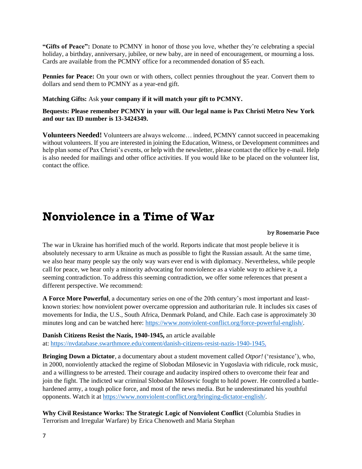**"Gifts of Peace":** Donate to PCMNY in honor of those you love, whether they're celebrating a special holiday, a birthday, anniversary, jubilee, or new baby, are in need of encouragement, or mourning a loss. Cards are available from the PCMNY office for a recommended donation of \$5 each.

**Pennies for Peace:** On your own or with others, collect pennies throughout the year. Convert them to dollars and send them to PCMNY as a year-end gift.

#### **Matching Gifts:** Ask **your company if it will match your gift to PCMNY.**

**Bequests: Please remember PCMNY in your will. Our legal name is Pax Christi Metro New York and our tax ID number is 13-3424349.**

**Volunteers Needed!** Volunteers are always welcome… indeed, PCMNY cannot succeed in peacemaking without volunteers. If you are interested in joining the Education, Witness, or Development committees and help plan some of Pax Christi's events, or help with the newsletter, please contact the office by e-mail. Help is also needed for mailings and other office activities. If you would like to be placed on the volunteer list, contact the office.

## **Nonviolence in a Time of War**

#### by Rosemarie Pace

The war in Ukraine has horrified much of the world. Reports indicate that most people believe it is absolutely necessary to arm Ukraine as much as possible to fight the Russian assault. At the same time, we also hear many people say the only way wars ever end is with diplomacy. Nevertheless, while people call for peace, we hear only a minority advocating for nonviolence as a viable way to achieve it, a seeming contradiction. To address this seeming contradiction, we offer some references that present a different perspective. We recommend:

**A Force More Powerful**, a documentary series on one of the 20th century's most important and leastknown stories: how nonviolent power overcame oppression and authoritarian rule. It includes six cases of movements for India, the U.S., South Africa, Denmark Poland, and Chile. Each case is approximately 30 minutes long and can be watched here: [https://www.nonviolent-conflict.org/force-powerful-english/.](https://www.nonviolent-conflict.org/force-powerful-english/)

**Danish Citizens Resist the Nazis, 1940-1945,** an article available at: [https://nvdatabase.swarthmore.edu/content/danish-citizens-resist-nazis-1940-1945.](https://nvdatabase.swarthmore.edu/content/danish-citizens-resist-nazis-1940-1945)

**Bringing Down a Dictator**, a documentary about a student movement called *Otpor!* ('resistance'), who, in 2000, nonviolently attacked the regime of Slobodan Milosevic in Yugoslavia with ridicule, rock music, and a willingness to be arrested. Their courage and audacity inspired others to overcome their fear and join the fight. The indicted war criminal Slobodan Milosevic fought to hold power. He controlled a battlehardened army, a tough police force, and most of the news media. But he underestimated his youthful opponents. Watch it a[t https://www.nonviolent-conflict.org/bringing-dictator-english/.](https://www.nonviolent-conflict.org/bringing-dictator-english/)

**Why Civil Resistance Works: The Strategic Logic of Nonviolent Conflict** (Columbia Studies in Terrorism and Irregular Warfare) by Erica Chenoweth and Maria Stephan